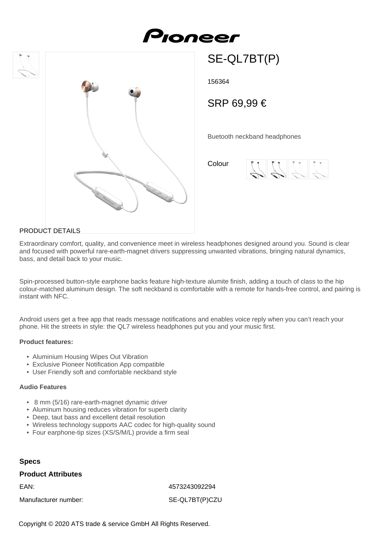



156364

SRP 69,99 €

SE-QL7BT(P)

Buetooth neckband headphones

Colour



## PRODUCT DETAILS

Extraordinary comfort, quality, and convenience meet in wireless headphones designed around you. Sound is clear and focused with powerful rare-earth-magnet drivers suppressing unwanted vibrations, bringing natural dynamics, bass, and detail back to your music.

Spin-processed button-style earphone backs feature high-texture alumite finish, adding a touch of class to the hip colour-matched aluminum design. The soft neckband is comfortable with a remote for hands-free control, and pairing is instant with NFC.

Android users get a free app that reads message notifications and enables voice reply when you can't reach your phone. Hit the streets in style: the QL7 wireless headphones put you and your music first.

#### **Product features:**

- Aluminium Housing Wipes Out Vibration
- Exclusive Pioneer Notification App compatible
- User Friendly soft and comfortable neckband style

#### **Audio Features**

- 8 mm (5/16) rare-earth-magnet dynamic driver
- Aluminum housing reduces vibration for superb clarity
- Deep, taut bass and excellent detail resolution
- Wireless technology supports AAC codec for high-quality sound
- Four earphone-tip sizes (XS/S/M/L) provide a firm seal

## **Specs**

#### **Product Attributes**

EAN: 4573243092294

Manufacturer number: SE-QL7BT(P)CZU

Copyright © 2020 ATS trade & service GmbH All Rights Reserved.